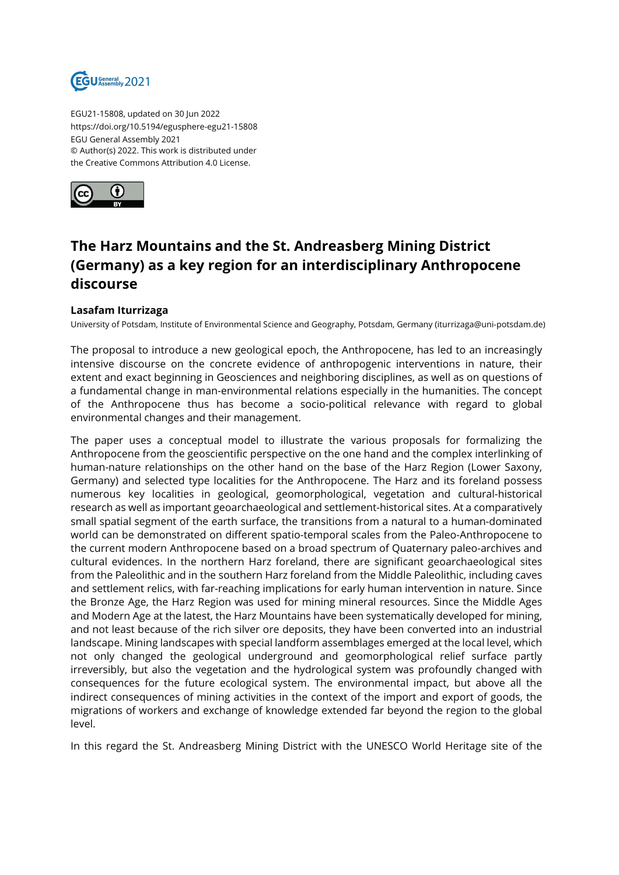

EGU21-15808, updated on 30 Jun 2022 https://doi.org/10.5194/egusphere-egu21-15808 EGU General Assembly 2021 © Author(s) 2022. This work is distributed under the Creative Commons Attribution 4.0 License.



## **The Harz Mountains and the St. Andreasberg Mining District (Germany) as a key region for an interdisciplinary Anthropocene discourse**

## **Lasafam Iturrizaga**

University of Potsdam, Institute of Environmental Science and Geography, Potsdam, Germany (iturrizaga@uni-potsdam.de)

The proposal to introduce a new geological epoch, the Anthropocene, has led to an increasingly intensive discourse on the concrete evidence of anthropogenic interventions in nature, their extent and exact beginning in Geosciences and neighboring disciplines, as well as on questions of a fundamental change in man-environmental relations especially in the humanities. The concept of the Anthropocene thus has become a socio-political relevance with regard to global environmental changes and their management.

The paper uses a conceptual model to illustrate the various proposals for formalizing the Anthropocene from the geoscientific perspective on the one hand and the complex interlinking of human-nature relationships on the other hand on the base of the Harz Region (Lower Saxony, Germany) and selected type localities for the Anthropocene. The Harz and its foreland possess numerous key localities in geological, geomorphological, vegetation and cultural-historical research as well as important geoarchaeological and settlement-historical sites. At a comparatively small spatial segment of the earth surface, the transitions from a natural to a human-dominated world can be demonstrated on different spatio-temporal scales from the Paleo-Anthropocene to the current modern Anthropocene based on a broad spectrum of Quaternary paleo-archives and cultural evidences. In the northern Harz foreland, there are significant geoarchaeological sites from the Paleolithic and in the southern Harz foreland from the Middle Paleolithic, including caves and settlement relics, with far-reaching implications for early human intervention in nature. Since the Bronze Age, the Harz Region was used for mining mineral resources. Since the Middle Ages and Modern Age at the latest, the Harz Mountains have been systematically developed for mining, and not least because of the rich silver ore deposits, they have been converted into an industrial landscape. Mining landscapes with special landform assemblages emerged at the local level, which not only changed the geological underground and geomorphological relief surface partly irreversibly, but also the vegetation and the hydrological system was profoundly changed with consequences for the future ecological system. The environmental impact, but above all the indirect consequences of mining activities in the context of the import and export of goods, the migrations of workers and exchange of knowledge extended far beyond the region to the global level.

In this regard the St. Andreasberg Mining District with the UNESCO World Heritage site of the